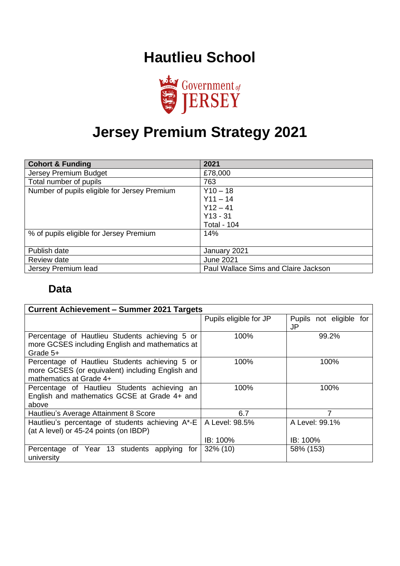## **Hautlieu School**



# **Jersey Premium Strategy 2021**

| <b>Cohort &amp; Funding</b>                  | 2021                                 |
|----------------------------------------------|--------------------------------------|
| Jersey Premium Budget                        | £78,000                              |
| Total number of pupils                       | 763                                  |
| Number of pupils eligible for Jersey Premium | $Y10 - 18$                           |
|                                              | $Y11 - 14$                           |
|                                              | $Y12 - 41$                           |
|                                              | $Y13 - 31$                           |
|                                              | <b>Total - 104</b>                   |
| % of pupils eligible for Jersey Premium      | 14%                                  |
|                                              |                                      |
| Publish date                                 | January 2021                         |
| Review date                                  | <b>June 2021</b>                     |
| Jersey Premium lead                          | Paul Wallace Sims and Claire Jackson |

#### **Data**

| <b>Current Achievement - Summer 2021 Targets</b>                                                                              |                        |                                      |
|-------------------------------------------------------------------------------------------------------------------------------|------------------------|--------------------------------------|
|                                                                                                                               | Pupils eligible for JP | Pupils not eligible for<br><b>JP</b> |
| Percentage of Hautlieu Students achieving 5 or<br>more GCSES including English and mathematics at<br>Grade 5+                 | 100%                   | 99.2%                                |
| Percentage of Hautlieu Students achieving 5 or<br>more GCSES (or equivalent) including English and<br>mathematics at Grade 4+ | 100%                   | 100%                                 |
| Percentage of Hautlieu Students achieving an<br>English and mathematics GCSE at Grade 4+ and<br>above                         | 100%                   | 100%                                 |
| Hautlieu's Average Attainment 8 Score                                                                                         | 6.7                    |                                      |
| Hautlieu's percentage of students achieving $A^*$ -E   A Level: 98.5%<br>(at A level) or 45-24 points (on IBDP)               |                        | A Level: 99.1%                       |
|                                                                                                                               | IB: 100%               | IB: 100%                             |
| Percentage of Year 13 students applying<br>for<br>university                                                                  | $32\%$ (10)            | 58% (153)                            |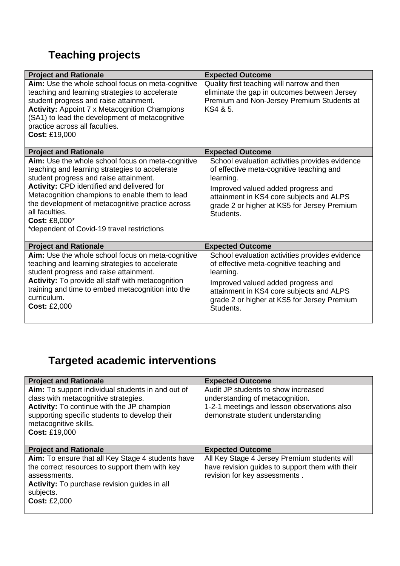### **Teaching projects**

| <b>Project and Rationale</b>                                                                                                                                                                                                                                                                                                                                                       | <b>Expected Outcome</b>                                                                                                                                                                                                                               |
|------------------------------------------------------------------------------------------------------------------------------------------------------------------------------------------------------------------------------------------------------------------------------------------------------------------------------------------------------------------------------------|-------------------------------------------------------------------------------------------------------------------------------------------------------------------------------------------------------------------------------------------------------|
| Aim: Use the whole school focus on meta-cognitive<br>teaching and learning strategies to accelerate<br>student progress and raise attainment.<br><b>Activity: Appoint 7 x Metacognition Champions</b><br>(SA1) to lead the development of metacognitive<br>practice across all faculties.<br>Cost: £19,000                                                                         | Quality first teaching will narrow and then<br>eliminate the gap in outcomes between Jersey<br>Premium and Non-Jersey Premium Students at<br>KS4 & 5.                                                                                                 |
| <b>Project and Rationale</b>                                                                                                                                                                                                                                                                                                                                                       | <b>Expected Outcome</b>                                                                                                                                                                                                                               |
| Aim: Use the whole school focus on meta-cognitive<br>teaching and learning strategies to accelerate<br>student progress and raise attainment.<br>Activity: CPD identified and delivered for<br>Metacognition champions to enable them to lead<br>the development of metacognitive practice across<br>all faculties.<br>Cost: £8,000*<br>*dependent of Covid-19 travel restrictions | School evaluation activities provides evidence<br>of effective meta-cognitive teaching and<br>learning.<br>Improved valued added progress and<br>attainment in KS4 core subjects and ALPS<br>grade 2 or higher at KS5 for Jersey Premium<br>Students. |
| <b>Project and Rationale</b>                                                                                                                                                                                                                                                                                                                                                       | <b>Expected Outcome</b>                                                                                                                                                                                                                               |
| Aim: Use the whole school focus on meta-cognitive<br>teaching and learning strategies to accelerate<br>student progress and raise attainment.<br>Activity: To provide all staff with metacognition<br>training and time to embed metacognition into the<br>curriculum.<br><b>Cost: £2,000</b>                                                                                      | School evaluation activities provides evidence<br>of effective meta-cognitive teaching and<br>learning.<br>Improved valued added progress and<br>attainment in KS4 core subjects and ALPS<br>grade 2 or higher at KS5 for Jersey Premium<br>Students. |

### **Targeted academic interventions**

| <b>Project and Rationale</b>                                                                                                                                                                            | <b>Expected Outcome</b>                                                                                                                                    |
|---------------------------------------------------------------------------------------------------------------------------------------------------------------------------------------------------------|------------------------------------------------------------------------------------------------------------------------------------------------------------|
| Aim: To support individual students in and out of<br>class with metacognitive strategies.<br>Activity: To continue with the JP champion<br>supporting specific students to develop their                | Audit JP students to show increased<br>understanding of metacognition.<br>1-2-1 meetings and lesson observations also<br>demonstrate student understanding |
| metacognitive skills.<br><b>Cost: £19,000</b>                                                                                                                                                           |                                                                                                                                                            |
| <b>Project and Rationale</b>                                                                                                                                                                            | <b>Expected Outcome</b>                                                                                                                                    |
| Aim: To ensure that all Key Stage 4 students have<br>the correct resources to support them with key<br>assessments.<br>Activity: To purchase revision guides in all<br>subjects.<br><b>Cost: £2,000</b> | All Key Stage 4 Jersey Premium students will<br>have revision guides to support them with their<br>revision for key assessments.                           |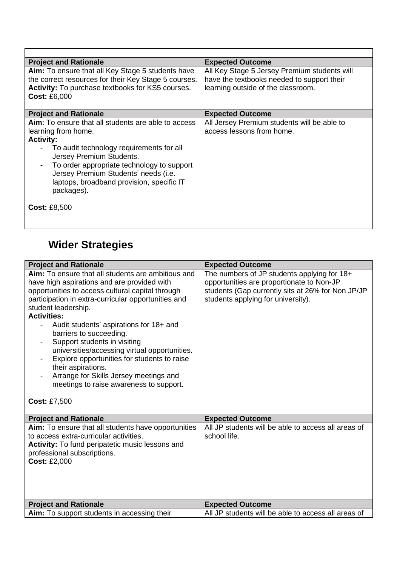| <b>Project and Rationale</b>                                                                              | <b>Expected Outcome</b>                                                                    |
|-----------------------------------------------------------------------------------------------------------|--------------------------------------------------------------------------------------------|
| Aim: To ensure that all Key Stage 5 students have<br>the correct resources for their Key Stage 5 courses. | All Key Stage 5 Jersey Premium students will<br>have the textbooks needed to support their |
| Activity: To purchase textbooks for KS5 courses.<br><b>Cost: £6,000</b>                                   | learning outside of the classroom.                                                         |
|                                                                                                           |                                                                                            |
| <b>Project and Rationale</b>                                                                              | <b>Expected Outcome</b>                                                                    |
| <b>Aim:</b> To ensure that all students are able to access                                                | All Jersey Premium students will be able to                                                |
| learning from home.                                                                                       | access lessons from home.                                                                  |
| <b>Activity:</b>                                                                                          |                                                                                            |
| - To audit technology requirements for all<br>Jersey Premium Students.                                    |                                                                                            |
| To order appropriate technology to support<br>$\qquad \qquad \blacksquare$                                |                                                                                            |
| Jersey Premium Students' needs (i.e.<br>laptops, broadband provision, specific IT<br>packages).           |                                                                                            |
| <b>Cost: £8,500</b>                                                                                       |                                                                                            |

#### **Wider Strategies**

| <b>Project and Rationale</b>                                                                                                                                                                                                                                                                                                                                                                                                                                                                                                                                                                             | <b>Expected Outcome</b>                                                                                                                                                             |
|----------------------------------------------------------------------------------------------------------------------------------------------------------------------------------------------------------------------------------------------------------------------------------------------------------------------------------------------------------------------------------------------------------------------------------------------------------------------------------------------------------------------------------------------------------------------------------------------------------|-------------------------------------------------------------------------------------------------------------------------------------------------------------------------------------|
| <b>Aim:</b> To ensure that all students are ambitious and<br>have high aspirations and are provided with<br>opportunities to access cultural capital through<br>participation in extra-curricular opportunities and<br>student leadership.<br><b>Activities:</b><br>Audit students' aspirations for 18+ and<br>barriers to succeeding.<br>Support students in visiting<br>universities/accessing virtual opportunities.<br>Explore opportunities for students to raise<br>their aspirations.<br>Arrange for Skills Jersey meetings and<br>meetings to raise awareness to support.<br><b>Cost: £7,500</b> | The numbers of JP students applying for 18+<br>opportunities are proportionate to Non-JP<br>students (Gap currently sits at 26% for Non JP/JP<br>students applying for university). |
|                                                                                                                                                                                                                                                                                                                                                                                                                                                                                                                                                                                                          |                                                                                                                                                                                     |
| <b>Project and Rationale</b>                                                                                                                                                                                                                                                                                                                                                                                                                                                                                                                                                                             | <b>Expected Outcome</b>                                                                                                                                                             |
| Aim: To ensure that all students have opportunities<br>to access extra-curricular activities.<br><b>Activity:</b> To fund peripatetic music lessons and<br>professional subscriptions.<br><b>Cost: £2,000</b>                                                                                                                                                                                                                                                                                                                                                                                            | All JP students will be able to access all areas of<br>school life.                                                                                                                 |
| <b>Project and Rationale</b>                                                                                                                                                                                                                                                                                                                                                                                                                                                                                                                                                                             | <b>Expected Outcome</b>                                                                                                                                                             |
| Aim: To support students in accessing their                                                                                                                                                                                                                                                                                                                                                                                                                                                                                                                                                              | All JP students will be able to access all areas of                                                                                                                                 |